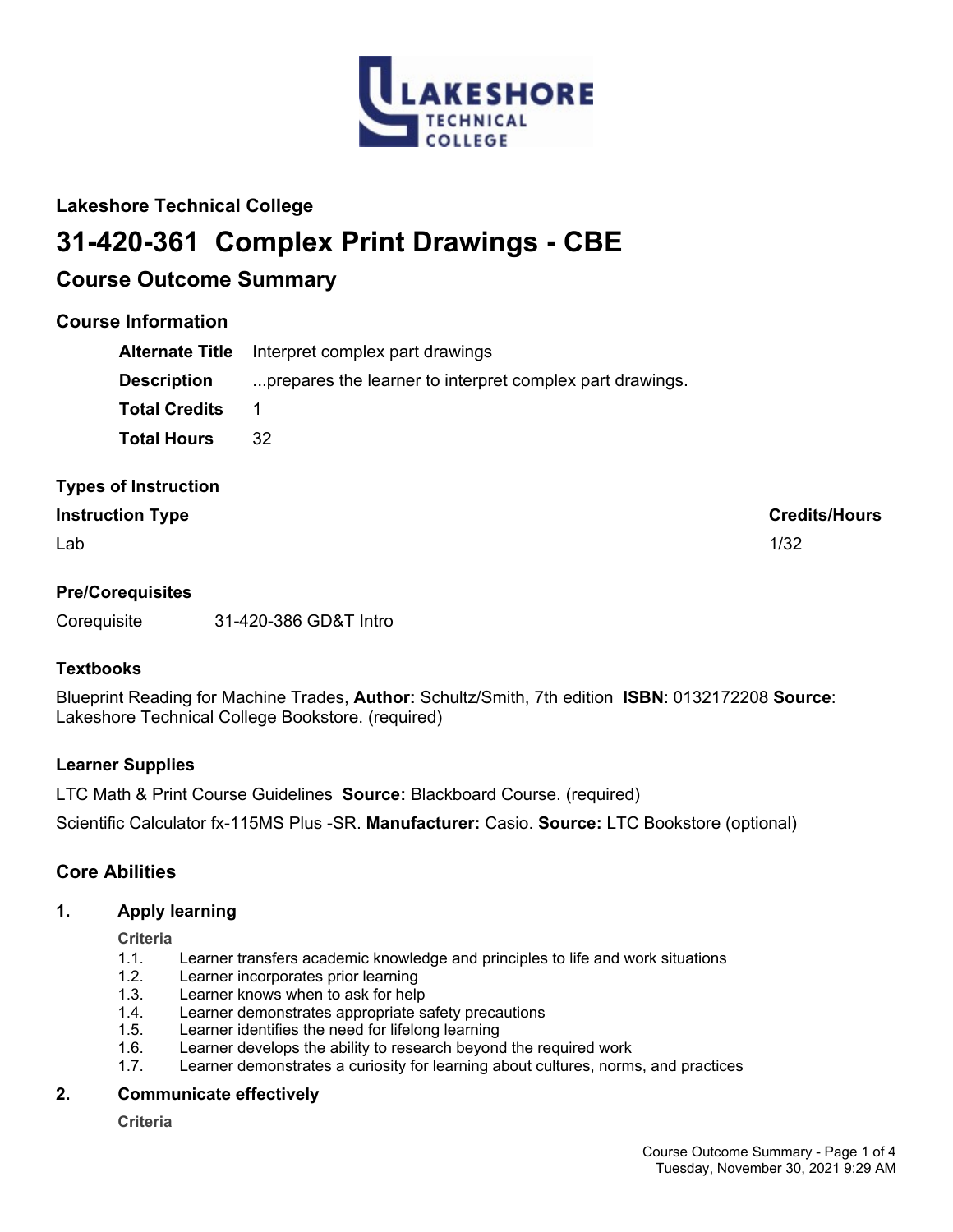

# **Lakeshore Technical College**

# **31-420-361 Complex Print Drawings - CBE**

# **Course Outcome Summary**

# **Course Information**

| <b>Alternate Title</b> | Interpret complex part drawings                          |
|------------------------|----------------------------------------------------------|
| <b>Description</b>     | prepares the learner to interpret complex part drawings. |
| <b>Total Credits</b>   |                                                          |
| <b>Total Hours</b>     | 32.                                                      |

# **Types of Instruction**

# **Instruction Type Credits/Hours**

 $\mathsf{Lab}$  and the contract of the contract of the contract of the contract of the contract of the contract of the contract of the contract of the contract of the contract of the contract of the contract of the contract of

# **Pre/Corequisites**

Corequisite 31-420-386 GD&T Intro

# **Textbooks**

Blueprint Reading for Machine Trades, **Author:** Schultz/Smith, 7th edition **ISBN**: 0132172208 **Source**: Lakeshore Technical College Bookstore. (required)

# **Learner Supplies**

LTC Math & Print Course Guidelines **Source:** Blackboard Course. (required)

Scientific Calculator fx-115MS Plus -SR. **Manufacturer:** Casio. **Source:** LTC Bookstore (optional)

# **Core Abilities**

# **1. Apply learning**

**Criteria**

- 1.1. Learner transfers academic knowledge and principles to life and work situations
- 1.2. Learner incorporates prior learning
- 1.3. Learner knows when to ask for help
- 1.4. Learner demonstrates appropriate safety precautions
- 1.5. Learner identifies the need for lifelong learning
- 1.6. Learner develops the ability to research beyond the required work
- 1.7. Learner demonstrates a curiosity for learning about cultures, norms, and practices

# **2. Communicate effectively**

**Criteria**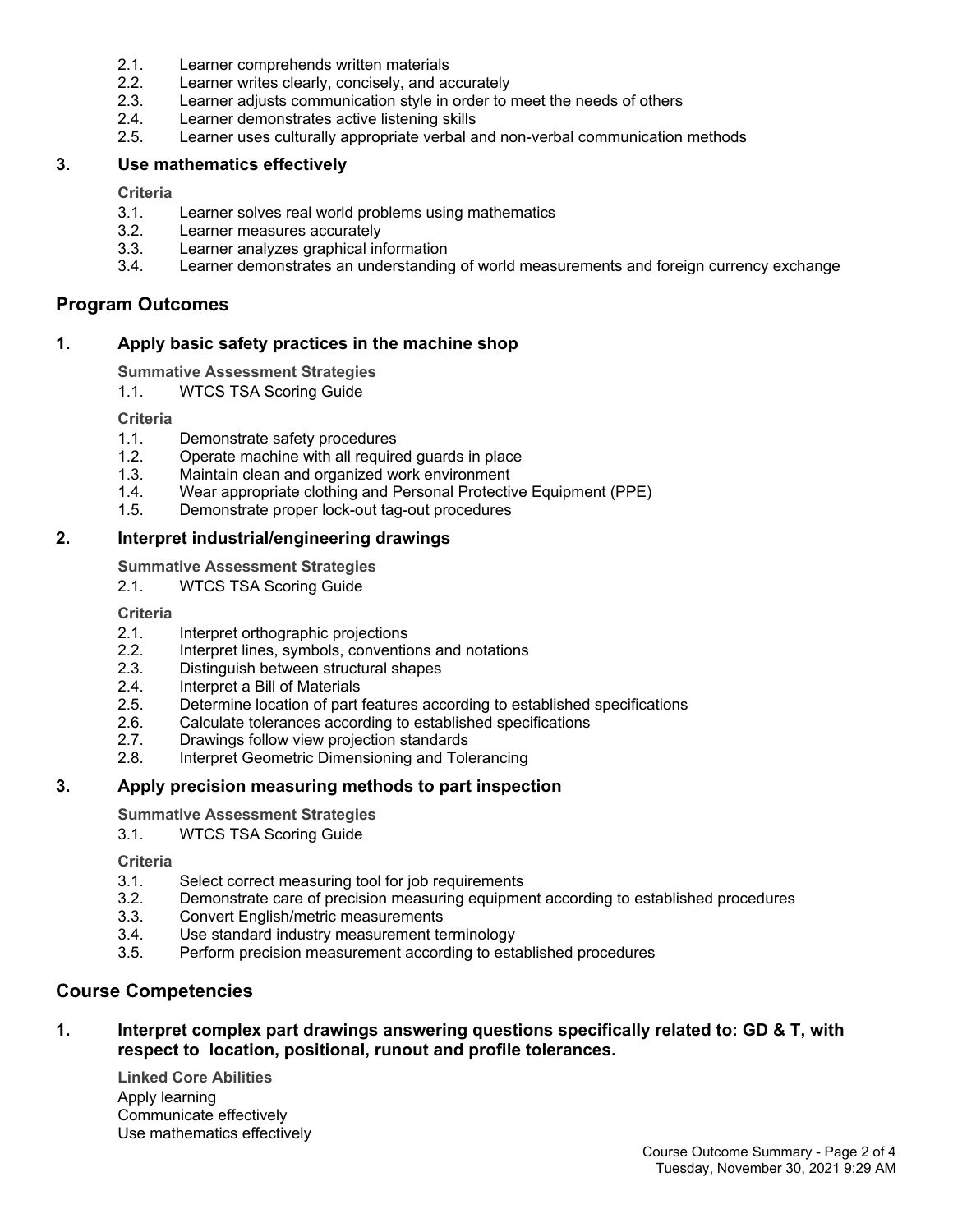- 2.1. Learner comprehends written materials
- 2.2. Learner writes clearly, concisely, and accurately
- 2.3. Learner adjusts communication style in order to meet the needs of others
- 2.4. Learner demonstrates active listening skills
- 2.5. Learner uses culturally appropriate verbal and non-verbal communication methods

## **3. Use mathematics effectively**

#### **Criteria**

- 3.1. Learner solves real world problems using mathematics
- 3.2. Learner measures accurately
- 3.3. Learner analyzes graphical information
- 3.4. Learner demonstrates an understanding of world measurements and foreign currency exchange

# **Program Outcomes**

## **1. Apply basic safety practices in the machine shop**

#### **Summative Assessment Strategies**

1.1. WTCS TSA Scoring Guide

#### **Criteria**

- 1.1. Demonstrate safety procedures
- 1.2. Operate machine with all required guards in place
- 1.3. Maintain clean and organized work environment
- 1.4. Wear appropriate clothing and Personal Protective Equipment (PPE)
- 1.5. Demonstrate proper lock-out tag-out procedures

## **2. Interpret industrial/engineering drawings**

**Summative Assessment Strategies**

2.1. WTCS TSA Scoring Guide

**Criteria**

- 2.1. Interpret orthographic projections
- 2.2. Interpret lines, symbols, conventions and notations
- 2.3. Distinguish between structural shapes
- 2.4. Interpret a Bill of Materials
- 2.5. Determine location of part features according to established specifications
- 2.6. Calculate tolerances according to established specifications
- 2.7. Drawings follow view projection standards
- 2.8. Interpret Geometric Dimensioning and Tolerancing

## **3. Apply precision measuring methods to part inspection**

#### **Summative Assessment Strategies**

3.1. WTCS TSA Scoring Guide

**Criteria**

- 3.1. Select correct measuring tool for job requirements
- 3.2. Demonstrate care of precision measuring equipment according to established procedures
- 3.3. Convert English/metric measurements
- 3.4. Use standard industry measurement terminology
- 3.5. Perform precision measurement according to established procedures

# **Course Competencies**

**1. Interpret complex part drawings answering questions specifically related to: GD & T, with respect to location, positional, runout and profile tolerances.**

**Linked Core Abilities** Apply learning Communicate effectively Use mathematics effectively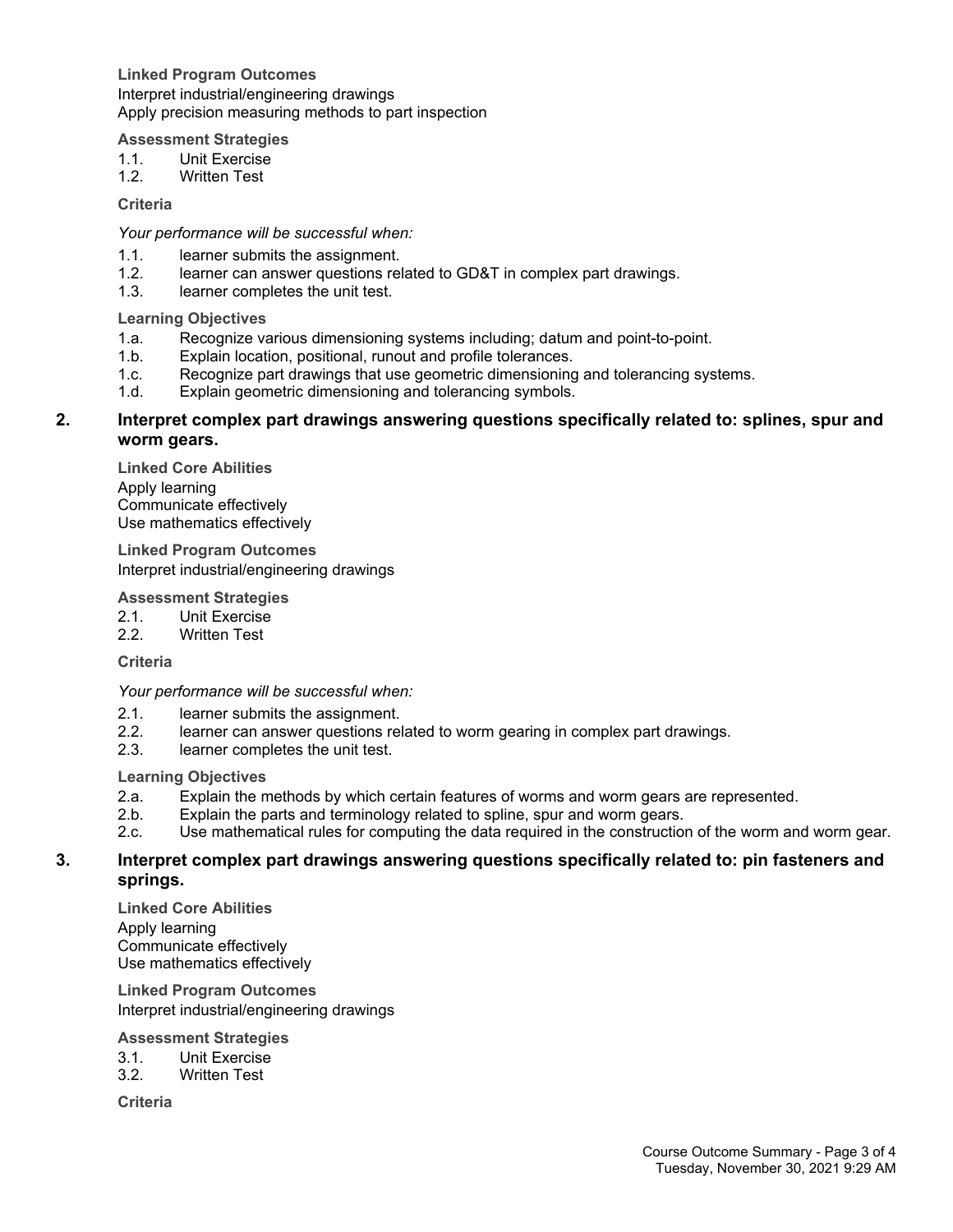**Linked Program Outcomes** Interpret industrial/engineering drawings Apply precision measuring methods to part inspection

#### **Assessment Strategies**

- 1.1. Unit Exercise
- 1.2. Written Test

#### **Criteria**

*Your performance will be successful when:*

- 1.1. learner submits the assignment.<br>1.2. learner can answer questions re
- learner can answer questions related to GD&T in complex part drawings.
- 1.3. learner completes the unit test.

#### **Learning Objectives**

- 1.a. Recognize various dimensioning systems including; datum and point-to-point.
- 1.b. Explain location, positional, runout and profile tolerances.
- 1.c. Recognize part drawings that use geometric dimensioning and tolerancing systems.
- 1.d. Explain geometric dimensioning and tolerancing symbols.

## **2. Interpret complex part drawings answering questions specifically related to: splines, spur and worm gears.**

**Linked Core Abilities** Apply learning Communicate effectively Use mathematics effectively

**Linked Program Outcomes** Interpret industrial/engineering drawings

#### **Assessment Strategies**

- 2.1. Unit Exercise<br>2.2. Written Test
- Written Test

## **Criteria**

*Your performance will be successful when:*

- 2.1. learner submits the assignment.
- 2.2. learner can answer questions related to worm gearing in complex part drawings.
- 2.3. learner completes the unit test.

#### **Learning Objectives**

- 2.a. Explain the methods by which certain features of worms and worm gears are represented.
- 2.b. Explain the parts and terminology related to spline, spur and worm gears.
- 2.c. Use mathematical rules for computing the data required in the construction of the worm and worm gear.

## **3. Interpret complex part drawings answering questions specifically related to: pin fasteners and springs.**

**Linked Core Abilities** Apply learning Communicate effectively Use mathematics effectively

**Linked Program Outcomes** Interpret industrial/engineering drawings

#### **Assessment Strategies**

- 3.1. Unit Exercise
- 3.2. Written Test

**Criteria**